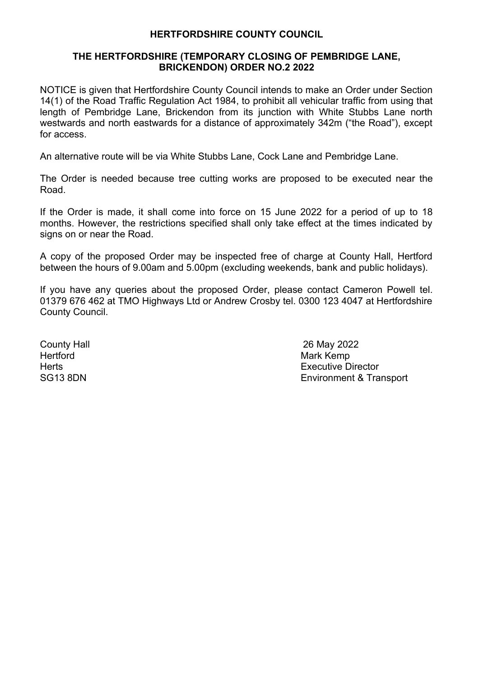## **HERTFORDSHIRE COUNTY COUNCIL**

## **THE HERTFORDSHIRE (TEMPORARY CLOSING OF PEMBRIDGE LANE, BRICKENDON) ORDER NO.2 2022**

NOTICE is given that Hertfordshire County Council intends to make an Order under Section 14(1) of the Road Traffic Regulation Act 1984, to prohibit all vehicular traffic from using that length of Pembridge Lane, Brickendon from its junction with White Stubbs Lane north westwards and north eastwards for a distance of approximately 342m ("the Road"), except for access.

An alternative route will be via White Stubbs Lane, Cock Lane and Pembridge Lane.

The Order is needed because tree cutting works are proposed to be executed near the Road.

If the Order is made, it shall come into force on 15 June 2022 for a period of up to 18 months. However, the restrictions specified shall only take effect at the times indicated by signs on or near the Road.

A copy of the proposed Order may be inspected free of charge at County Hall, Hertford between the hours of 9.00am and 5.00pm (excluding weekends, bank and public holidays).

If you have any queries about the proposed Order, please contact Cameron Powell tel. 01379 676 462 at TMO Highways Ltd or Andrew Crosby tel. 0300 123 4047 at Hertfordshire County Council.

Hertford **Mark Kemp** 

County Hall 26 May 2022 Herts **Executive Director** Executive Director SG13 8DN Environment & Transport